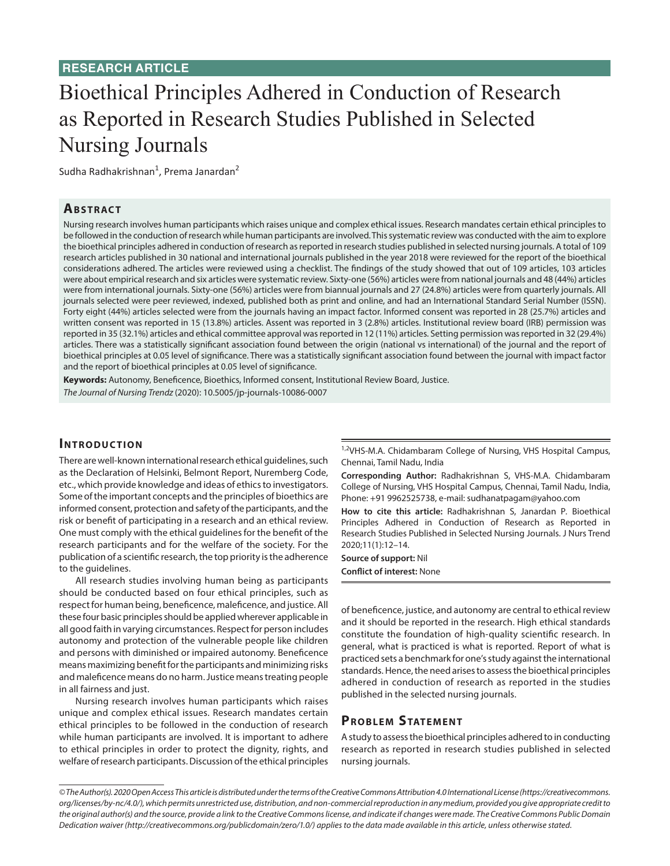# Bioethical Principles Adhered in Conduction of Research as Reported in Research Studies Published in Selected Nursing Journals

Sudha Radhakrishnan<sup>1</sup>, Prema Janardan<sup>2</sup>

# **ABSTRACT**

Nursing research involves human participants which raises unique and complex ethical issues. Research mandates certain ethical principles to be followed in the conduction of research while human participants are involved. This systematic review was conducted with the aim to explore the bioethical principles adhered in conduction of research as reported in research studies published in selected nursing journals. A total of 109 research articles published in 30 national and international journals published in the year 2018 were reviewed for the report of the bioethical considerations adhered. The articles were reviewed using a checklist. The findings of the study showed that out of 109 articles, 103 articles were about empirical research and six articles were systematic review. Sixty-one (56%) articles were from national journals and 48 (44%) articles were from international journals. Sixty-one (56%) articles were from biannual journals and 27 (24.8%) articles were from quarterly journals. All journals selected were peer reviewed, indexed, published both as print and online, and had an International Standard Serial Number (ISSN). Forty eight (44%) articles selected were from the journals having an impact factor. Informed consent was reported in 28 (25.7%) articles and written consent was reported in 15 (13.8%) articles. Assent was reported in 3 (2.8%) articles. Institutional review board (IRB) permission was reported in 35 (32.1%) articles and ethical committee approval was reported in 12 (11%) articles. Setting permission was reported in 32 (29.4%) articles. There was a statistically significant association found between the origin (national vs international) of the journal and the report of bioethical principles at 0.05 level of significance. There was a statistically significant association found between the journal with impact factor and the report of bioethical principles at 0.05 level of significance.

**Keywords:** Autonomy, Beneficence, Bioethics, Informed consent, Institutional Review Board, Justice. *The Journal of Nursing Trendz* (2020): 10.5005/jp-journals-10086-0007

# **INTRODUCTION**

There are well-known international research ethical guidelines, such as the Declaration of Helsinki, Belmont Report, Nuremberg Code, etc., which provide knowledge and ideas of ethics to investigators. Some of the important concepts and the principles of bioethics are informed consent, protection and safety of the participants, and the risk or benefit of participating in a research and an ethical review. One must comply with the ethical guidelines for the benefit of the research participants and for the welfare of the society. For the publication of a scientific research, the top priority is the adherence to the guidelines.

All research studies involving human being as participants should be conducted based on four ethical principles, such as respect for human being, beneficence, maleficence, and justice. All these four basic principles should be applied wherever applicable in all good faith in varying circumstances. Respect for person includes autonomy and protection of the vulnerable people like children and persons with diminished or impaired autonomy. Beneficence means maximizing benefit for the participants and minimizing risks and maleficence means do no harm. Justice means treating people in all fairness and just.

Nursing research involves human participants which raises unique and complex ethical issues. Research mandates certain ethical principles to be followed in the conduction of research while human participants are involved. It is important to adhere to ethical principles in order to protect the dignity, rights, and welfare of research participants. Discussion of the ethical principles

1,2VHS-M.A. Chidambaram College of Nursing, VHS Hospital Campus, Chennai, Tamil Nadu, India

**Corresponding Author:** Radhakrishnan S, VHS-M.A. Chidambaram College of Nursing, VHS Hospital Campus, Chennai, Tamil Nadu, India, Phone: +91 9962525738, e-mail: sudhanatpagam@yahoo.com

**How to cite this article:** Radhakrishnan S, Janardan P*.* Bioethical Principles Adhered in Conduction of Research as Reported in Research Studies Published in Selected Nursing Journals. J Nurs Trend 2020;11(1):12–14.

**Source of support:** Nil

**Conflict of interest:** None

of beneficence, justice, and autonomy are central to ethical review and it should be reported in the research. High ethical standards constitute the foundation of high-quality scientific research. In general, what is practiced is what is reported. Report of what is practiced sets a benchmark for one's study against the international standards. Hence, the need arises to assess the bioethical principles adhered in conduction of research as reported in the studies published in the selected nursing journals.

# **PROBLEM STATEMENT**

A study to assess the bioethical principles adhered to in conducting research as reported in research studies published in selected nursing journals.

*<sup>©</sup> The Author(s). 2020 Open Access This article is distributed under the terms of the Creative Commons Attribution 4.0 International License (https://creativecommons. org/licenses/by-nc/4.0/), which permits unrestricted use, distribution, and non-commercial reproduction in any medium, provided you give appropriate credit to the original author(s) and the source, provide a link to the Creative Commons license, and indicate if changes were made. The Creative Commons Public Domain Dedication waiver (http://creativecommons.org/publicdomain/zero/1.0/) applies to the data made available in this article, unless otherwise stated.*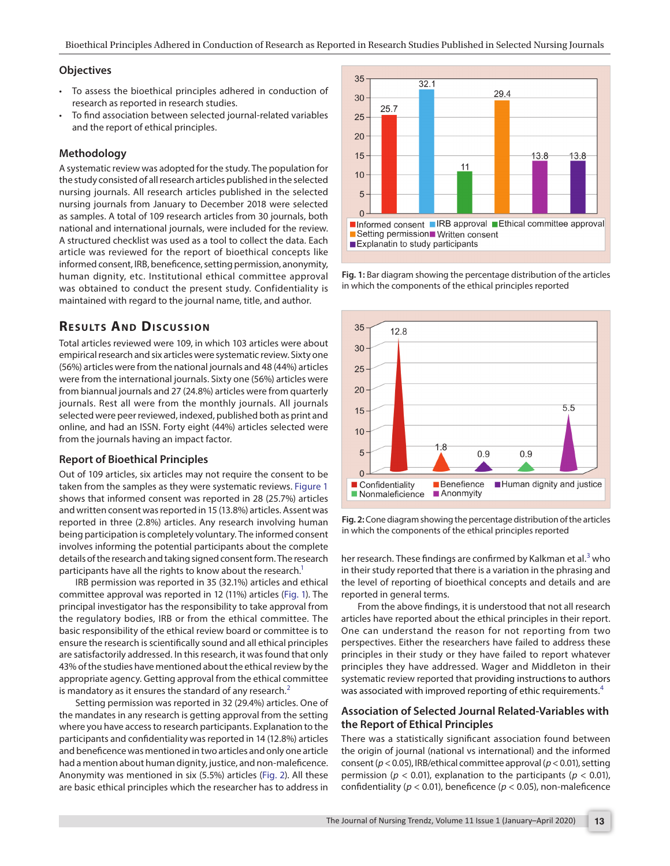#### **Objectives**

- To assess the bioethical principles adhered in conduction of research as reported in research studies.
- To find association between selected journal-related variables and the report of ethical principles.

#### **Methodology**

A systematic review was adopted for the study. The population for the study consisted of all research articles published in the selected nursing journals. All research articles published in the selected nursing journals from January to December 2018 were selected as samples. A total of 109 research articles from 30 journals, both national and international journals, were included for the review. A structured checklist was used as a tool to collect the data. Each article was reviewed for the report of bioethical concepts like informed consent, IRB, beneficence, setting permission, anonymity, human dignity, etc. Institutional ethical committee approval was obtained to conduct the present study. Confidentiality is maintained with regard to the journal name, title, and author.

# **RESULTS AND DISCUSSION**

Total articles reviewed were 109, in which 103 articles were about empirical research and six articles were systematic review. Sixty one (56%) articles were from the national journals and 48 (44%) articles were from the international journals. Sixty one (56%) articles were from biannual journals and 27 (24.8%) articles were from quarterly journals. Rest all were from the monthly journals. All journals selected were peer reviewed, indexed, published both as print and online, and had an ISSN. Forty eight (44%) articles selected were from the journals having an impact factor.

#### **Report of Bioethical Principles**

Out of 109 articles, six articles may not require the consent to be taken from the samples as they were systematic reviews. [Figure 1](#page-1-0)  shows that informed consent was reported in 28 (25.7%) articles and written consent was reported in 15 (13.8%) articles. Assent was reported in three (2.8%) articles. Any research involving human being participation is completely voluntary. The informed consent involves informing the potential participants about the complete details of the research and taking signed consent form. The research participants have all the rights to know about the research.<sup>1</sup>

IRB permission was reported in 35 (32.1%) articles and ethical committee approval was reported in 12 (11%) articles ([Fig. 1](#page-1-0)). The principal investigator has the responsibility to take approval from the regulatory bodies, IRB or from the ethical committee. The basic responsibility of the ethical review board or committee is to ensure the research is scientifically sound and all ethical principles are satisfactorily addressed. In this research, it was found that only 43% of the studies have mentioned about the ethical review by the appropriate agency. Getting approval from the ethical committee is mandatory as it ensures the standard of any research.<sup>[2](#page-2-1)</sup>

Setting permission was reported in 32 (29.4%) articles. One of the mandates in any research is getting approval from the setting where you have access to research participants. Explanation to the participants and confidentiality was reported in 14 (12.8%) articles and beneficence was mentioned in two articles and only one article had a mention about human dignity, justice, and non-maleficence. Anonymity was mentioned in six (5.5%) articles ([Fig. 2](#page-1-1)). All these are basic ethical principles which the researcher has to address in



<span id="page-1-0"></span>**Fig. 1:** Bar diagram showing the percentage distribution of the articles in which the components of the ethical principles reported



<span id="page-1-1"></span>**Fig. 2:** Cone diagram showing the percentage distribution of the articles in which the components of the ethical principles reported

her research. These findings are confirmed by Kalkman et al.<sup>[3](#page-2-2)</sup> who in their study reported that there is a variation in the phrasing and the level of reporting of bioethical concepts and details and are reported in general terms.

From the above findings, it is understood that not all research articles have reported about the ethical principles in their report. One can understand the reason for not reporting from two perspectives. Either the researchers have failed to address these principles in their study or they have failed to report whatever principles they have addressed. Wager and Middleton in their systematic review reported that providing instructions to authors was associated with improved reporting of ethic requirements.<sup>[4](#page-2-3)</sup>

### **Association of Selected Journal Related-Variables with the Report of Ethical Principles**

There was a statistically significant association found between the origin of journal (national vs international) and the informed consent (*p* < 0.05), IRB/ethical committee approval (*p* < 0.01), setting permission ( $p < 0.01$ ), explanation to the participants ( $p < 0.01$ ), confidentiality (*p* < 0.01), beneficence (*p* < 0.05), non-maleficence